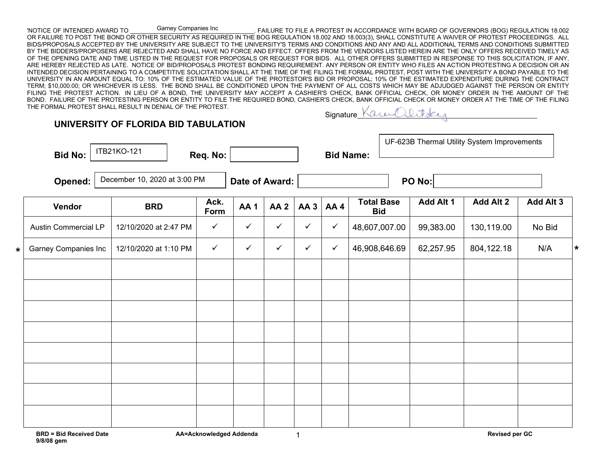'NOTICE OF INTENDED AWARD TO GATHOL COMPANIES INC<br>FAILURE TO FILE A PROTEST IN ACCORDANCE WITH BOARD OF GOVERNORS (BOG) REGULATION 18.002 OR FAILURE TO POST THE BOND OR OTHER SECURITY AS REQUIRED IN THE BOG REGULATION 18.002 AND 18.003(3), SHALL CONSTITUTE A WAIVER OF PROTEST PROCEEDINGS. ALL BIDS/PROPOSALS ACCEPTED BY THE UNIVERSITY ARE SUBJECT TO THE UNIVERSITY'S TERMS AND CONDITIONS AND ANY AND ALL ADDITIONAL TERMS AND CONDITIONS SUBMITTED BY THE BIDDERS/PROPOSERS ARE REJECTED AND SHALL HAVE NO FORCE AND EFFECT. OFFERS FROM THE VENDORS LISTED HEREIN ARE THE ONLY OFFERS RECEIVED TIMELY AS OF THE OPENING DATE AND TIME LISTED IN THE REQUEST FOR PROPOSALS OR REQUEST FOR BIDS. ALL OTHER OFFERS SUBMITTED IN RESPONSE TO THIS SOLICITATION, IF ANY, ARE HEREBY REJECTED AS LATE. NOTICE OF BID/PROPOSALS PROTEST BONDING REQUIREMENT. ANY PERSON OR ENTITY WHO FILES AN ACTION PROTESTING A DECISION OR AN INTENDED DECISION PERTAINING TO A COMPETITIVE SOLICITATION SHALL AT THE TIME OF THE FILING THE FORMAL PROTEST, POST WITH THE UNIVERSITY A BOND PAYABLE TO THE UNIVERSITY IN AN AMOUNT EQUAL TO: 10% OF THE ESTIMATED VALUE OF THE PROTESTOR'S BID OR PROPOSAL; 10% OF THE ESTIMATED EXPENDITURE DURING THE CONTRACT TERM; \$10,000.00; OR WHICHEVER IS LESS. THE BOND SHALL BE CONDITIONED UPON THE PAYMENT OF ALL COSTS WHICH MAY BE ADJUDGED AGAINST THE PERSON OR ENTITY FILING THE PROTEST ACTION. IN LIEU OF A BOND, THE UNIVERSITY MAY ACCEPT A CASHIER'S CHECK, BANK OFFICIAL CHECK, OR MONEY ORDER IN THE AMOUNT OF THE BOND. FAILURE OF THE PROTESTING PERSON OR ENTITY TO FILE THE REQUIRED BOND, CASHIER'S CHECK, BANK OFFICIAL CHECK OR MONEY ORDER AT THE TIME OF THE FILING<br>THE FORMAL PROTEST SHALL RESULT IN DENIAL OF THE PROTEST THE FORMAL PROTEST SHALL RESULT IN DENIAL OF THE PROTEST. Garney Companies Inc

| Signature 1 |  |
|-------------|--|
|             |  |

| <b>Bid No:</b> |  | ITB21KO-121                                                |  | Req. No:                                       |                              |                 |              |                | UF-623B Thermal Utility System Improvements<br><b>Bid Name:</b> |  |                                |            |           |
|----------------|--|------------------------------------------------------------|--|------------------------------------------------|------------------------------|-----------------|--------------|----------------|-----------------------------------------------------------------|--|--------------------------------|------------|-----------|
| Opened:        |  |                                                            |  |                                                |                              |                 | PO No:       |                |                                                                 |  |                                |            |           |
| Vendor         |  | <b>BRD</b>                                                 |  | Ack.<br>Form                                   | AA <sub>1</sub>              | AA <sub>2</sub> | <b>AA3</b>   | AA4            | <b>Total Base</b><br><b>Bid</b>                                 |  | Add Alt 1                      | Add Alt 2  | Add Alt 3 |
|                |  |                                                            |  | $\checkmark$                                   | $\checkmark$                 | $\checkmark$    | $\checkmark$ | $\checkmark$   |                                                                 |  | 99,383.00                      | 130,119.00 | No Bid    |
|                |  |                                                            |  | $\checkmark$                                   | $\checkmark$                 | $\checkmark$    | $\checkmark$ | $\checkmark$   |                                                                 |  | 62,257.95                      | 804,122.18 | N/A       |
|                |  |                                                            |  |                                                |                              |                 |              |                |                                                                 |  |                                |            |           |
|                |  |                                                            |  |                                                |                              |                 |              |                |                                                                 |  |                                |            |           |
|                |  |                                                            |  |                                                |                              |                 |              |                |                                                                 |  |                                |            |           |
|                |  |                                                            |  |                                                |                              |                 |              |                |                                                                 |  |                                |            |           |
|                |  |                                                            |  |                                                |                              |                 |              |                |                                                                 |  |                                |            |           |
|                |  |                                                            |  |                                                |                              |                 |              |                |                                                                 |  |                                |            |           |
|                |  |                                                            |  |                                                |                              |                 |              |                |                                                                 |  |                                |            |           |
|                |  |                                                            |  |                                                |                              |                 |              |                |                                                                 |  |                                |            |           |
|                |  | <b>Austin Commercial LP</b><br><b>Garney Companies Inc</b> |  | 12/10/2020 at 2:47 PM<br>12/10/2020 at 1:10 PM | December 10, 2020 at 3:00 PM |                 |              | Date of Award: |                                                                 |  | 48,607,007.00<br>46,908,646.69 |            |           |

1

**UNIVERSITY OF FLORIDA BID TABULATION**